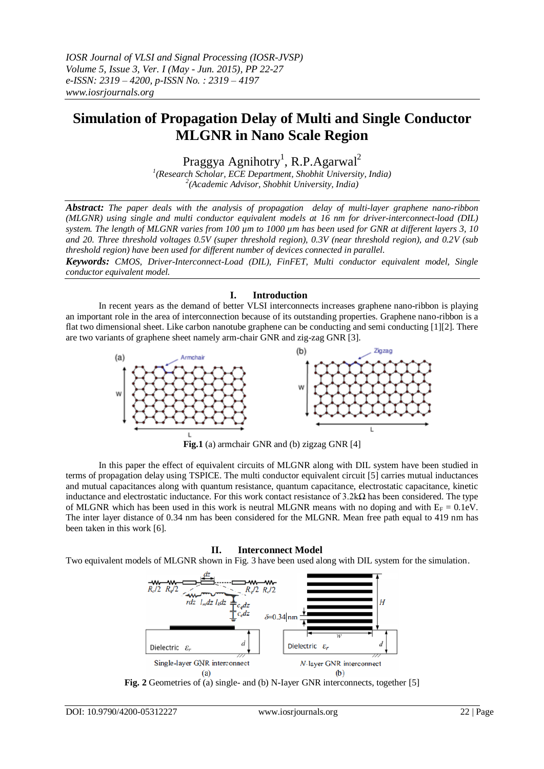# **Simulation of Propagation Delay of Multi and Single Conductor MLGNR in Nano Scale Region**

Praggya Agnihotry<sup>1</sup>, R.P.Agarwal<sup>2</sup>

*1 (Research Scholar, ECE Department, Shobhit University, India) 2 (Academic Advisor, Shobhit University, India)*

*Abstract: The paper deals with the analysis of propagation delay of multi-layer graphene nano-ribbon (MLGNR) using single and multi conductor equivalent models at 16 nm for driver-interconnect-load (DIL) system. The length of MLGNR varies from 100 µm to 1000 µm has been used for GNR at different layers 3, 10 and 20. Three threshold voltages 0.5V (super threshold region), 0.3V (near threshold region), and 0.2V (sub threshold region) have been used for different number of devices connected in parallel.* 

*Keywords: CMOS, Driver-Interconnect-Load (DIL), FinFET, Multi conductor equivalent model, Single conductor equivalent model.*

### **I. Introduction**

In recent years as the demand of better VLSI interconnects increases graphene nano-ribbon is playing an important role in the area of interconnection because of its outstanding properties. Graphene nano-ribbon is a flat two dimensional sheet. Like carbon nanotube graphene can be conducting and semi conducting [1][2]. There are two variants of graphene sheet namely arm-chair GNR and zig-zag GNR [3].



**Fig.1** (a) armchair GNR and (b) zigzag GNR [4]

In this paper the effect of equivalent circuits of MLGNR along with DIL system have been studied in terms of propagation delay using TSPICE. The multi conductor equivalent circuit [5] carries mutual inductances and mutual capacitances along with quantum resistance, quantum capacitance, electrostatic capacitance, kinetic inductance and electrostatic inductance. For this work contact resistance of  $3.2k\Omega$  has been considered. The type of MLGNR which has been used in this work is neutral MLGNR means with no doping and with  $E_F = 0.1$ eV. The inter layer distance of 0.34 nm has been considered for the MLGNR. Mean free path equal to 419 nm has been taken in this work [6].

#### **II. Interconnect Model**

Two equivalent models of MLGNR shown in Fig. 3 have been used along with DIL system for the simulation.



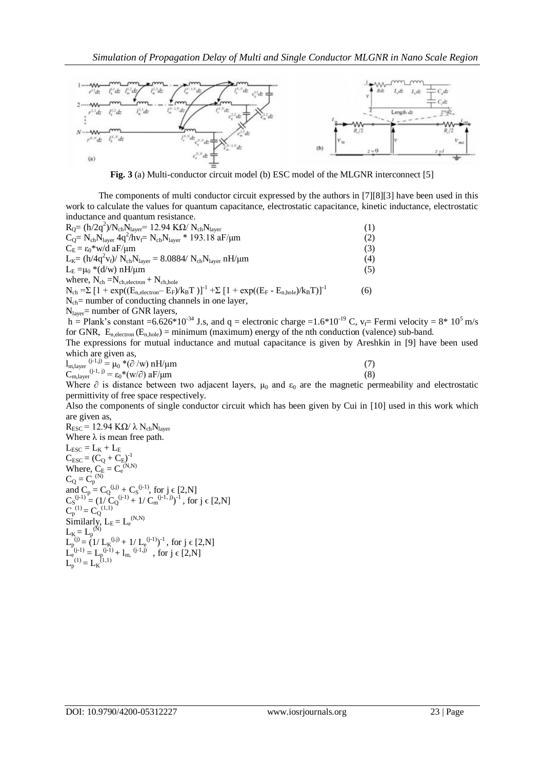

**Fig. 3** (a) Multi-conductor circuit model (b) ESC model of the MLGNR interconnect [5]

The components of multi conductor circuit expressed by the authors in [7][8][3] have been used in this work to calculate the values for quantum capacitance, electrostatic capacitance, kinetic inductance, electrostatic inductance and quantum resistance.

| $R_0 = (h/2q^2)/N_{ch}N_{layer} = 12.94 \text{ K}\Omega/N_{ch}N_{layer}$                                         | (1) |
|------------------------------------------------------------------------------------------------------------------|-----|
| $C_0 = N_{ch} N_{layer} 4q^2/hv_f = N_{ch} N_{layer} * 193.18 aF/\mu m$                                          | (2) |
| $C_E = \epsilon_0^*$ w/d aF/µm                                                                                   | (3) |
| $L_{K} = (h/4q^2v_f)/ N_{ch}N_{layer} = 8.0884/ N_{ch}N_{layer} nH/\mu m$                                        | (4) |
| $L_{E} = \mu_{0} * (d/w) nH/\mu m$                                                                               | (5) |
| where, $N_{ch} = N_{ch, electron} + N_{ch, hole}$                                                                |     |
| $N_{ch} = \sum [1 + \exp((E_{n, electron} - E_F)/k_B T)]^{-1} + \sum [1 + \exp((E_F - E_{n, hole})/k_B T)]^{-1}$ | (6) |
| $N_{ch}$ = number of conducting channels in one layer,                                                           |     |
| $N_{\text{layer}}$ = number of GNR layers,                                                                       |     |
| $h =$ Plank's constant $-6.626*10^{-34}$ Is and $g =$ electronic charge $-1.6*10^{-19}$ C $v =$ F                |     |

Plank's constant =6.626\*10<sup>-34</sup> J.s, and q = electronic charge =1.6\*10<sup>-19</sup> C,  $v_f$ = Fermi velocity = 8\* 10<sup>5</sup> m/s for GNR,  $E_{n,\text{electron}}(E_{n,\text{hole}}) = \text{minimum}$  (maximum) energy of the nth conduction (valence) sub-band.

The expressions for mutual inductance and mutual capacitance is given by Areshkin in [9] have been used which are given as,

| $l_{\rm m, layer}$ (j-1,j) = $\mu_0$ *( $\partial$ /w) nH/ $\mu$ m |  |     |
|--------------------------------------------------------------------|--|-----|
| $C_{m,layer}^{(j-1, j)} = \varepsilon_0^*(w/\partial) aF/\mu m$    |  | (8) |
| -- -                                                               |  |     |

Where  $\partial$  is distance between two adjacent layers,  $\mu_0$  and  $\varepsilon_0$  are the magnetic permeability and electrostatic permittivity of free space respectively.

Also the components of single conductor circuit which has been given by Cui in [10] used in this work which are given as,

 $R_{\rm ESC}$  = 12.94 KΩ/ λ  $N_{\rm ch}N_{\rm layer}$ Where  $\lambda$  is mean free path.  $L_{\text{ESC}} = L_K + L_E$  $C_{\text{ESC}} = (C_Q + C_E)^{-1}$ Where,  $C_E = C_e^{(N,N)}$  $C_Q = C_p^{(N)}$ and  $C_p = C_Q^{(j,j)} + C_S^{(j-1)}$ , for  $j \in [2,N]$  $C_S^{(j-1)} = (1/\tilde{C}_Q^{(j-1)} + 1/\tilde{C}_M^{(j-1, j)})^{-1}$ , for j  $\in [2, N]$  $C_p^{(1)} = C_Q^{(1,1)}$ Similarly,  $L_E = L_e^{(N,N)}$  $L_K = L_p^{(N)}$  $L_p^{(j)} = (1/L_K^{(j,j)} + 1/L_e^{(j-1)})^{-1}$ , for j  $\in [2,N]$  $L_e^{(j-1)} = L_p^{(j-1)} + l_{m}^{(j-1,j)}$ , for  $j \in [2,N]$  $L_p^{(1)} = L_K^{(1,1)}$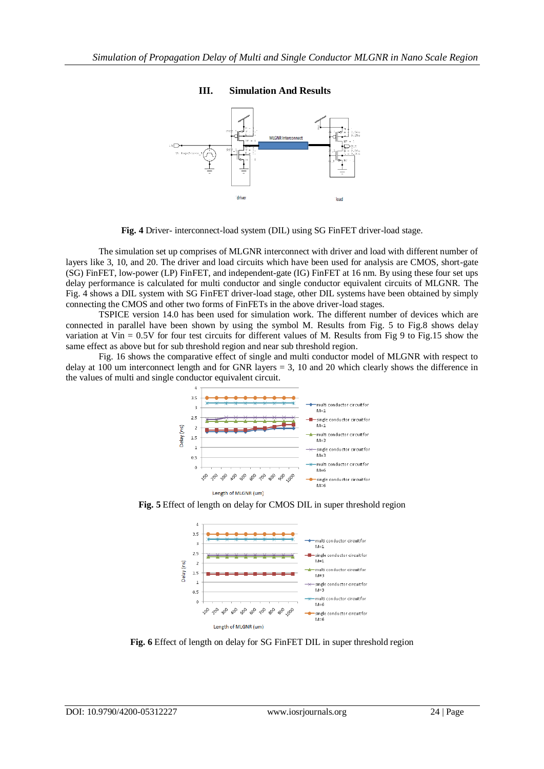## **III. Simulation And Results**



**Fig. 4** Driver- interconnect-load system (DIL) using SG FinFET driver-load stage.

The simulation set up comprises of MLGNR interconnect with driver and load with different number of layers like 3, 10, and 20. The driver and load circuits which have been used for analysis are CMOS, short-gate (SG) FinFET, low-power (LP) FinFET, and independent-gate (IG) FinFET at 16 nm. By using these four set ups delay performance is calculated for multi conductor and single conductor equivalent circuits of MLGNR. The Fig. 4 shows a DIL system with SG FinFET driver-load stage, other DIL systems have been obtained by simply connecting the CMOS and other two forms of FinFETs in the above driver-load stages.

TSPICE version 14.0 has been used for simulation work. The different number of devices which are connected in parallel have been shown by using the symbol M. Results from Fig. 5 to Fig.8 shows delay variation at Vin = 0.5V for four test circuits for different values of M. Results from Fig 9 to Fig.15 show the same effect as above but for sub threshold region and near sub threshold region.

Fig. 16 shows the comparative effect of single and multi conductor model of MLGNR with respect to delay at 100 um interconnect length and for GNR layers = 3, 10 and 20 which clearly shows the difference in the values of multi and single conductor equivalent circuit.



**Fig. 5** Effect of length on delay for CMOS DIL in super threshold region



**Fig. 6** Effect of length on delay for SG FinFET DIL in super threshold region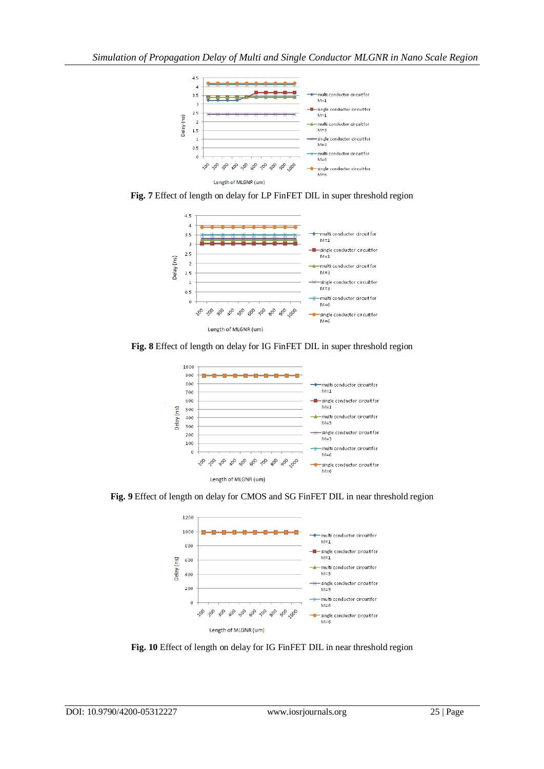

**Fig. 7** Effect of length on delay for LP FinFET DIL in super threshold region



**Fig. 8** Effect of length on delay for IG FinFET DIL in super threshold region



**Fig. 9** Effect of length on delay for CMOS and SG FinFET DIL in near threshold region



**Fig. 10** Effect of length on delay for IG FinFET DIL in near threshold region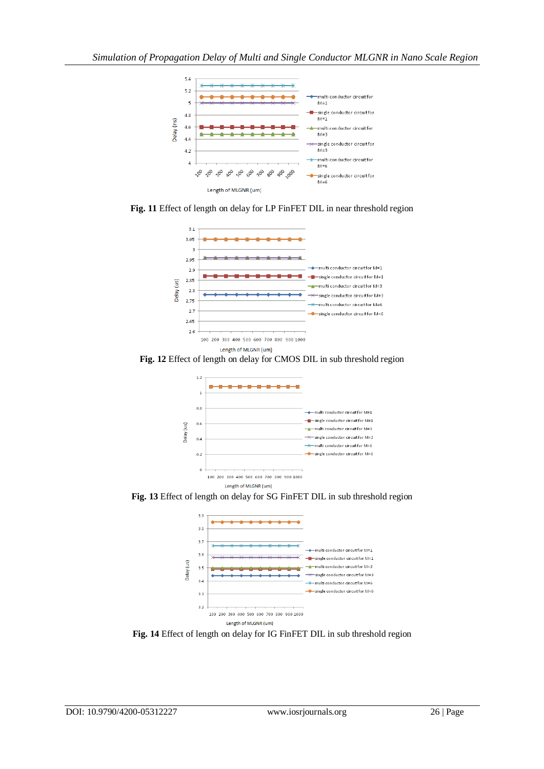





**Fig. 12** Effect of length on delay for CMOS DIL in sub threshold region



**Fig. 13** Effect of length on delay for SG FinFET DIL in sub threshold region



**Fig. 14** Effect of length on delay for IG FinFET DIL in sub threshold region